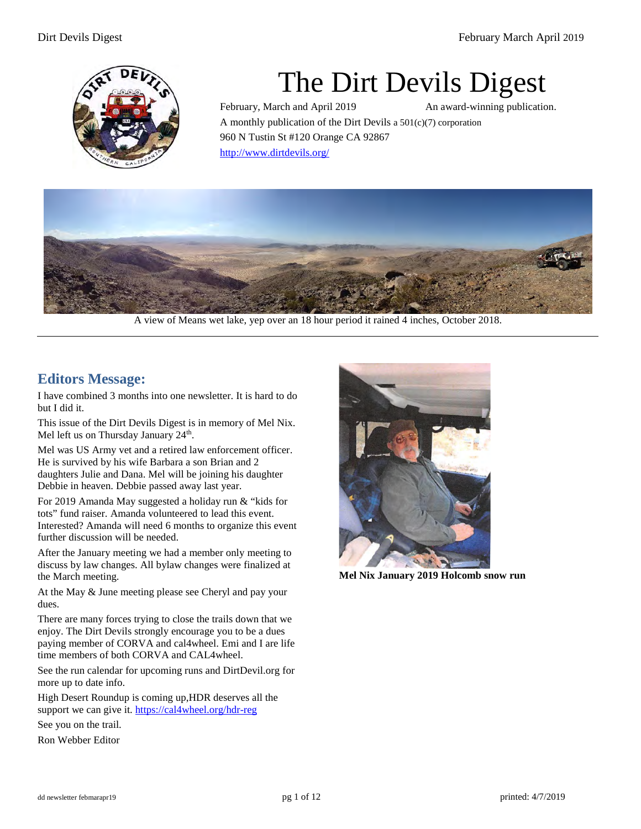

# The Dirt Devils Digest

February, March and April 2019 An award-winning publication. A monthly publication of the Dirt Devils a  $501(c)(7)$  corporation 960 N Tustin St #120 Orange CA 92867 <http://www.dirtdevils.org/>



A view of Means wet lake, yep over an 18 hour period it rained 4 inches, October 2018.

# **Editors Message:**

I have combined 3 months into one newsletter. It is hard to do but I did it.

This issue of the Dirt Devils Digest is in memory of Mel Nix. Mel left us on Thursday January 24<sup>th</sup>.

Mel was US Army vet and a retired law enforcement officer. He is survived by his wife Barbara a son Brian and 2 daughters Julie and Dana. Mel will be joining his daughter Debbie in heaven. Debbie passed away last year.

For 2019 Amanda May suggested a holiday run & "kids for tots" fund raiser. Amanda volunteered to lead this event. Interested? Amanda will need 6 months to organize this event further discussion will be needed.

After the January meeting we had a member only meeting to discuss by law changes. All bylaw changes were finalized at the March meeting.

At the May & June meeting please see Cheryl and pay your dues.

There are many forces trying to close the trails down that we enjoy. The Dirt Devils strongly encourage you to be a dues paying member of CORVA and cal4wheel. Emi and I are life time members of both CORVA and CAL4wheel.

See the run calendar for upcoming runs and DirtDevil.org for more up to date info.

High Desert Roundup is coming up,HDR deserves all the support we can give it. https://cal4wheel.org/hdr-reg

See you on the trail.

Ron Webber Editor



**Mel Nix January 2019 Holcomb snow run**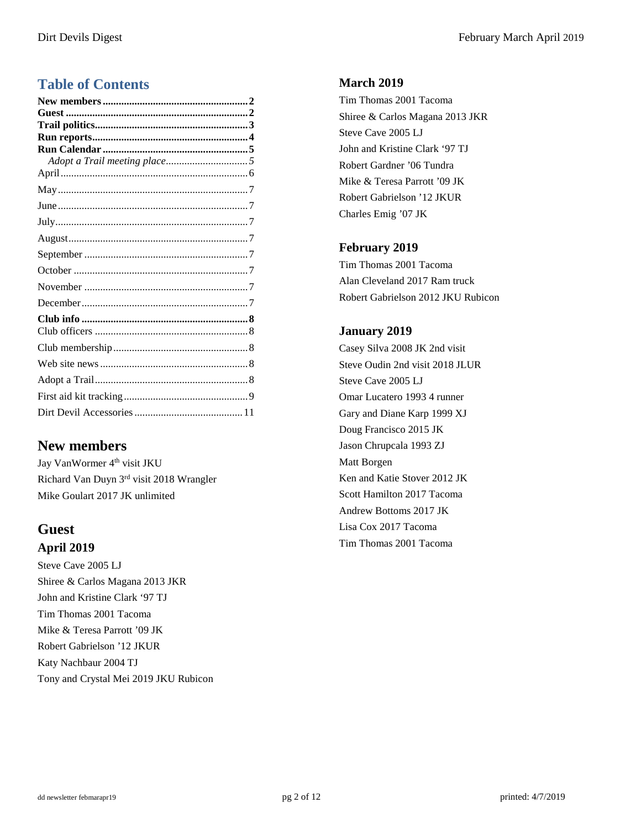# **Table of Contents**

# <span id="page-1-0"></span>**New members**

Jay VanWormer 4<sup>th</sup> visit JKU Richard Van Duyn 3rd visit 2018 Wrangler Mike Goulart 2017 JK unlimited

# <span id="page-1-1"></span>**Guest April 2019**

Steve Cave 2005 LJ Shiree & Carlos Magana 2013 JKR John and Kristine Clark '97 TJ Tim Thomas 2001 Tacoma Mike & Teresa Parrott '09 JK Robert Gabrielson '12 JKUR Katy Nachbaur 2004 TJ Tony and Crystal Mei 2019 JKU Rubicon

#### **March 2019**

Tim Thomas 2001 Tacoma Shiree & Carlos Magana 2013 JKR Steve Cave 2005 LJ John and Kristine Clark '97 TJ Robert Gardner '06 Tundra Mike & Teresa Parrott '09 JK Robert Gabrielson '12 JKUR Charles Emig '07 JK

#### **February 2019**

Tim Thomas 2001 Tacoma Alan Cleveland 2017 Ram truck Robert Gabrielson 2012 JKU Rubicon

#### **January 2019**

<span id="page-1-2"></span>Casey Silva 2008 JK 2nd visit Steve Oudin 2nd visit 2018 JLUR Steve Cave 2005 LJ Omar Lucatero 1993 4 runner Gary and Diane Karp 1999 XJ Doug Francisco 2015 JK Jason Chrupcala 1993 ZJ Matt Borgen Ken and Katie Stover 2012 JK Scott Hamilton 2017 Tacoma Andrew Bottoms 2017 JK Lisa Cox 2017 Tacoma Tim Thomas 2001 Tacoma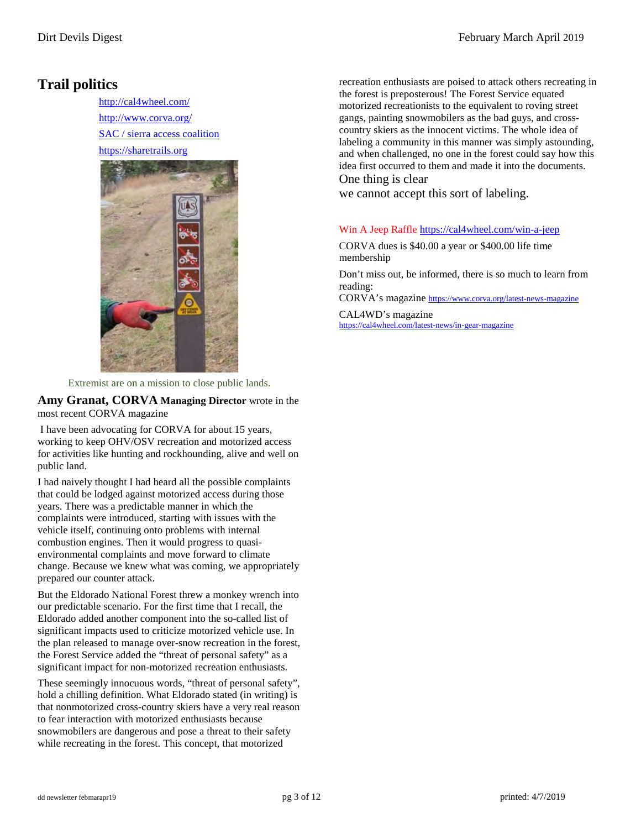# **Trail politics**

http://cal4wheel.com/ http://www.corva.org/ SAC / sierra access coalition https://sharetrails.org



Extremist are on a mission to close public lands.

**Amy Granat, CORVA Managing Director** wrote in the most recent CORVA magazine

I have been advocating for CORVA for about 15 years, working to keep OHV/OSV recreation and motorized access for activities like hunting and rockhounding, alive and well on public land.

I had naively thought I had heard all the possible complaints that could be lodged against motorized access during those years. There was a predictable manner in which the complaints were introduced, starting with issues with the vehicle itself, continuing onto problems with internal combustion engines. Then it would progress to quasienvironmental complaints and move forward to climate change. Because we knew what was coming, we appropriately prepared our counter attack.

But the Eldorado National Forest threw a monkey wrench into our predictable scenario. For the first time that I recall, the Eldorado added another component into the so-called list of significant impacts used to criticize motorized vehicle use. In the plan released to manage over-snow recreation in the forest, the Forest Service added the "threat of personal safety" as a significant impact for non-motorized recreation enthusiasts.

These seemingly innocuous words, "threat of personal safety", hold a chilling definition. What Eldorado stated (in writing) is that nonmotorized cross-country skiers have a very real reason to fear interaction with motorized enthusiasts because snowmobilers are dangerous and pose a threat to their safety while recreating in the forest. This concept, that motorized

recreation enthusiasts are poised to attack others recreating in the forest is preposterous! The Forest Service equated motorized recreationists to the equivalent to roving street gangs, painting snowmobilers as the bad guys, and crosscountry skiers as the innocent victims. The whole idea of labeling a community in this manner was simply astounding, and when challenged, no one in the forest could say how this idea first occurred to them and made it into the documents. One thing is clear

we cannot accept this sort of labeling.

#### Win A Jeep Raffle <https://cal4wheel.com/win-a-jeep>

CORVA dues is \$40.00 a year or \$400.00 life time membership

Don't miss out, be informed, there is so much to learn from reading:

CORVA's magazine<https://www.corva.org/latest-news-magazine>

CAL4WD's magazine https://cal4wheel.com/latest-news/in-gear-magazine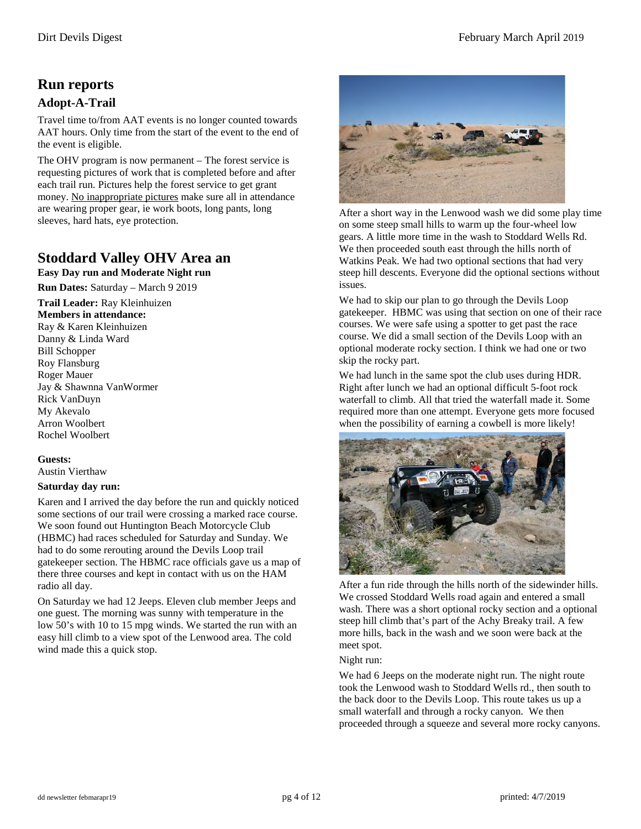# <span id="page-3-0"></span>**Run reports**

#### **Adopt-A-Trail**

Travel time to/from AAT events is no longer counted towards AAT hours. Only time from the start of the event to the end of the event is eligible.

The OHV program is now permanent – The forest service is requesting pictures of work that is completed before and after each trail run. Pictures help the forest service to get grant money. No inappropriate pictures make sure all in attendance are wearing proper gear, ie work boots, long pants, long sleeves, hard hats, eye protection.

# **Stoddard Valley OHV Area an**

**Easy Day run and Moderate Night run Run Dates:** Saturday – March 9 2019

**Trail Leader:** Ray Kleinhuizen

#### **Members in attendance:**

Ray & Karen Kleinhuizen Danny & Linda Ward Bill Schopper Roy Flansburg Roger Mauer Jay & Shawnna VanWormer Rick VanDuyn My Akevalo Arron Woolbert Rochel Woolbert

#### **Guests:**

Austin Vierthaw

#### **Saturday day run:**

Karen and I arrived the day before the run and quickly noticed some sections of our trail were crossing a marked race course. We soon found out Huntington Beach Motorcycle Club (HBMC) had races scheduled for Saturday and Sunday. We had to do some rerouting around the Devils Loop trail gatekeeper section. The HBMC race officials gave us a map of there three courses and kept in contact with us on the HAM radio all day.

On Saturday we had 12 Jeeps. Eleven club member Jeeps and one guest. The morning was sunny with temperature in the low 50's with 10 to 15 mpg winds. We started the run with an easy hill climb to a view spot of the Lenwood area. The cold wind made this a quick stop.



After a short way in the Lenwood wash we did some play time on some steep small hills to warm up the four-wheel low gears. A little more time in the wash to Stoddard Wells Rd. We then proceeded south east through the hills north of Watkins Peak. We had two optional sections that had very steep hill descents. Everyone did the optional sections without issues.

We had to skip our plan to go through the Devils Loop gatekeeper. HBMC was using that section on one of their race courses. We were safe using a spotter to get past the race course. We did a small section of the Devils Loop with an optional moderate rocky section. I think we had one or two skip the rocky part.

We had lunch in the same spot the club uses during HDR. Right after lunch we had an optional difficult 5-foot rock waterfall to climb. All that tried the waterfall made it. Some required more than one attempt. Everyone gets more focused when the possibility of earning a cowbell is more likely!



After a fun ride through the hills north of the sidewinder hills. We crossed Stoddard Wells road again and entered a small wash. There was a short optional rocky section and a optional steep hill climb that's part of the Achy Breaky trail. A few more hills, back in the wash and we soon were back at the meet spot.

#### Night run:

We had 6 Jeeps on the moderate night run. The night route took the Lenwood wash to Stoddard Wells rd., then south to the back door to the Devils Loop. This route takes us up a small waterfall and through a rocky canyon. We then proceeded through a squeeze and several more rocky canyons.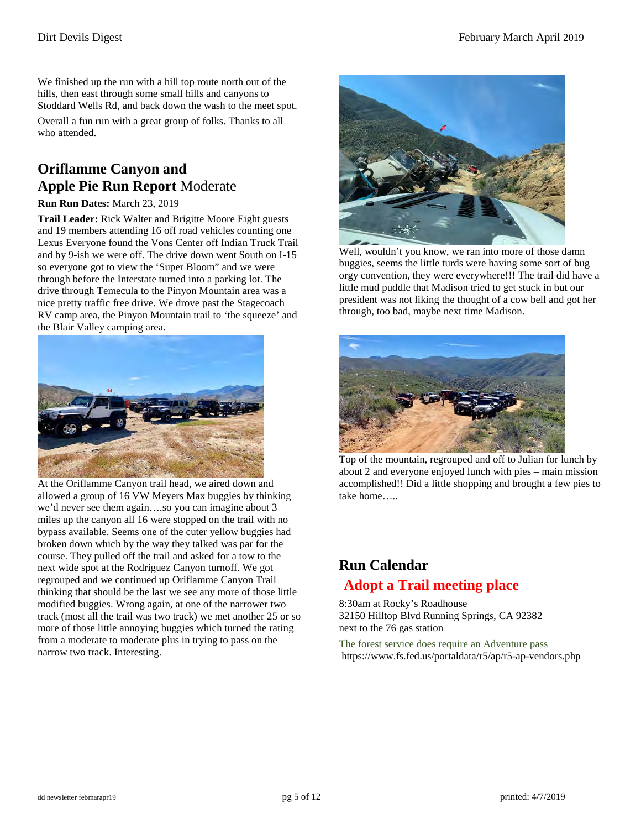We finished up the run with a hill top route north out of the hills, then east through some small hills and canyons to Stoddard Wells Rd, and back down the wash to the meet spot. Overall a fun run with a great group of folks. Thanks to all who attended.

# **Oriflamme Canyon and Apple Pie Run Report** Moderate

#### **Run Run Dates:** March 23, 2019

**Trail Leader:** Rick Walter and Brigitte Moore Eight guests and 19 members attending 16 off road vehicles counting one Lexus Everyone found the Vons Center off Indian Truck Trail and by 9-ish we were off. The drive down went South on I-15 so everyone got to view the 'Super Bloom" and we were through before the Interstate turned into a parking lot. The drive through Temecula to the Pinyon Mountain area was a nice pretty traffic free drive. We drove past the Stagecoach RV camp area, the Pinyon Mountain trail to 'the squeeze' and the Blair Valley camping area.



 At the Oriflamme Canyon trail head, we aired down and allowed a group of 16 VW Meyers Max buggies by thinking we'd never see them again….so you can imagine about 3 miles up the canyon all 16 were stopped on the trail with no bypass available. Seems one of the cuter yellow buggies had broken down which by the way they talked was par for the course. They pulled off the trail and asked for a tow to the next wide spot at the Rodriguez Canyon turnoff. We got regrouped and we continued up Oriflamme Canyon Trail thinking that should be the last we see any more of those little modified buggies. Wrong again, at one of the narrower two track (most all the trail was two track) we met another 25 or so more of those little annoying buggies which turned the rating from a moderate to moderate plus in trying to pass on the narrow two track. Interesting.



Well, wouldn't you know, we ran into more of those damn buggies, seems the little turds were having some sort of bug orgy convention, they were everywhere!!! The trail did have a little mud puddle that Madison tried to get stuck in but our president was not liking the thought of a cow bell and got her through, too bad, maybe next time Madison.



Top of the mountain, regrouped and off to Julian for lunch by about 2 and everyone enjoyed lunch with pies – main mission accomplished!! Did a little shopping and brought a few pies to take home…..

# <span id="page-4-0"></span>**Run Calendar Adopt a Trail meeting place**

<span id="page-4-1"></span>8:30am at Rocky's Roadhouse 32150 Hilltop Blvd Running Springs, CA 92382 next to the 76 gas station

The forest service does require an Adventure pass https://www.fs.fed.us/portaldata/r5/ap/r5-ap-vendors.php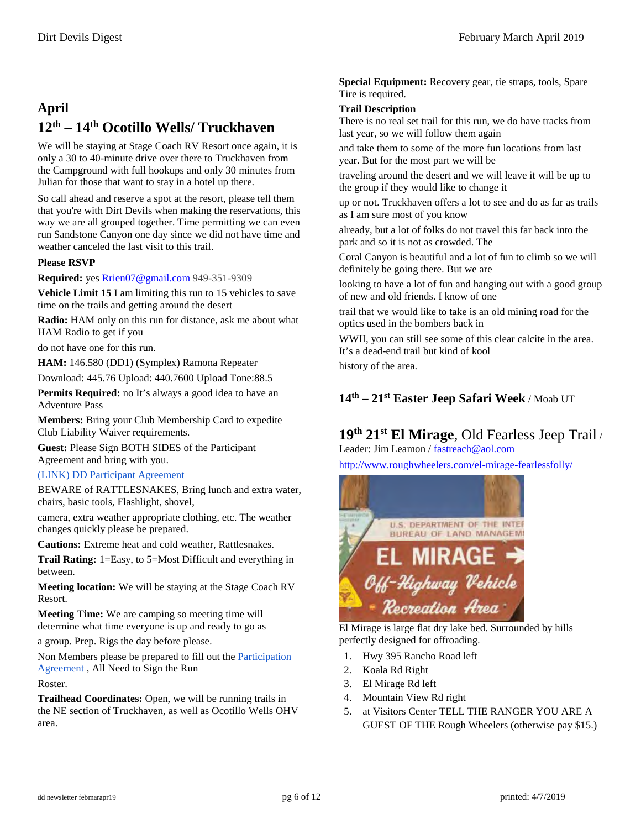# <span id="page-5-0"></span>**April 12th – 14th Ocotillo Wells/ Truckhaven**

We will be staying at Stage Coach RV Resort once again, it is only a 30 to 40-minute drive over there to Truckhaven from the Campground with full hookups and only 30 minutes from Julian for those that want to stay in a hotel up there.

So call ahead and reserve a spot at the resort, please tell them that you're with Dirt Devils when making the reservations, this way we are all grouped together. Time permitting we can even run Sandstone Canyon one day since we did not have time and weather canceled the last visit to this trail.

#### **Please RSVP**

**Required:** yes Rrien07@gmail.com 949-351-9309

**Vehicle Limit 15** I am limiting this run to 15 vehicles to save time on the trails and getting around the desert

**Radio:** HAM only on this run for distance, ask me about what HAM Radio to get if you

do not have one for this run.

**HAM:** 146.580 (DD1) (Symplex) Ramona Repeater

Download: 445.76 Upload: 440.7600 Upload Tone:88.5

**Permits Required:** no It's always a good idea to have an Adventure Pass

**Members:** Bring your Club Membership Card to expedite Club Liability Waiver requirements.

**Guest:** Please Sign BOTH SIDES of the Participant Agreement and bring with you.

#### (LINK) DD Participant Agreement

BEWARE of RATTLESNAKES, Bring lunch and extra water, chairs, basic tools, Flashlight, shovel,

camera, extra weather appropriate clothing, etc. The weather changes quickly please be prepared.

**Cautions:** Extreme heat and cold weather, Rattlesnakes.

**Trail Rating:** 1=Easy, to 5=Most Difficult and everything in between.

**Meeting location:** We will be staying at the Stage Coach RV Resort.

**Meeting Time:** We are camping so meeting time will determine what time everyone is up and ready to go as

a group. Prep. Rigs the day before please.

Non Members please be prepared to fill out the Participation Agreement , All Need to Sign the Run Roster.

**Trailhead Coordinates:** Open, we will be running trails in the NE section of Truckhaven, as well as Ocotillo Wells OHV area.

**Special Equipment:** Recovery gear, tie straps, tools, Spare Tire is required.

#### **Trail Description**

There is no real set trail for this run, we do have tracks from last year, so we will follow them again

and take them to some of the more fun locations from last year. But for the most part we will be

traveling around the desert and we will leave it will be up to the group if they would like to change it

up or not. Truckhaven offers a lot to see and do as far as trails as I am sure most of you know

already, but a lot of folks do not travel this far back into the park and so it is not as crowded. The

Coral Canyon is beautiful and a lot of fun to climb so we will definitely be going there. But we are

looking to have a lot of fun and hanging out with a good group of new and old friends. I know of one

trail that we would like to take is an old mining road for the optics used in the bombers back in

WWII, you can still see some of this clear calcite in the area. It's a dead-end trail but kind of kool

history of the area.

**14th – 21st Easter Jeep Safari Week** / Moab UT

# **19th 21st El Mirage**, Old Fearless Jeep Trail /

Leader: Jim Leamon / fastreach@aol.com

<http://www.roughwheelers.com/el-mirage-fearlessfolly/>



perfectly designed for offroading.

- 1. Hwy 395 Rancho Road left
- 2. Koala Rd Right
- 3. El Mirage Rd left
- 4. Mountain View Rd right
- 5. at Visitors Center TELL THE RANGER YOU ARE A GUEST OF THE Rough Wheelers (otherwise pay \$15.)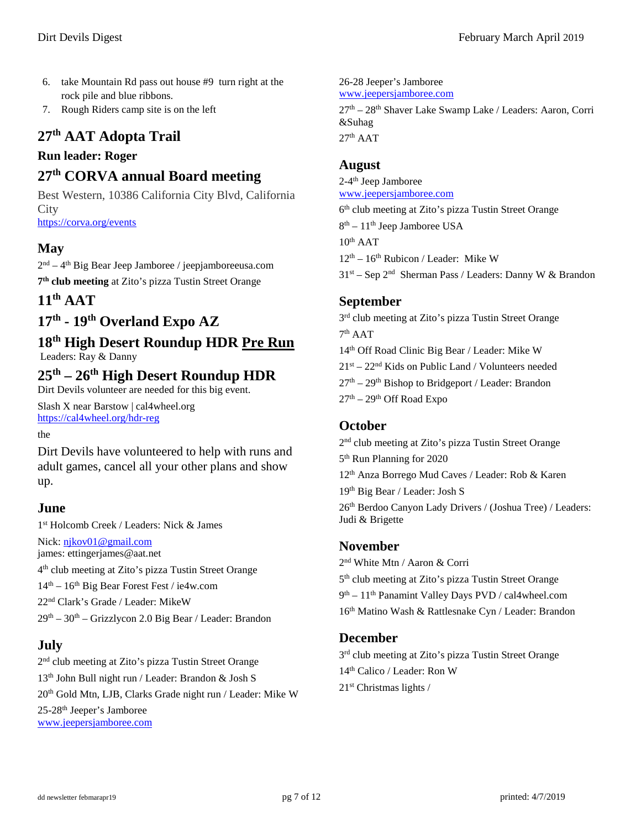- 6. take Mountain Rd pass out house #9 turn right at the rock pile and blue ribbons.
- 7. Rough Riders camp site is on the left

# **27th AAT Adopta Trail**

#### **Run leader: Roger**

# **27th CORVA annual Board meeting**

Best Western, 10386 California City Blvd, California **City** <https://corva.org/events>

### <span id="page-6-0"></span>**May**

 $2<sup>nd</sup> - 4<sup>th</sup>$  Big Bear Jeep Jamboree / jeepjamboreeusa.com **7th club meeting** at Zito's pizza Tustin Street Orange

# **11th AAT**

# **17th - 19th Overland Expo AZ**

# **18th High Desert Roundup HDR Pre Run**

Leaders: Ray & Danny

# **25th – 26th High Desert Roundup HDR**

Dirt Devils volunteer are needed for this big event.

Slash X near Barstow | cal4wheel.org <https://cal4wheel.org/hdr-reg>

the

Dirt Devils have volunteered to help with runs and adult games, cancel all your other plans and show up.

#### <span id="page-6-1"></span>**June**

1st Holcomb Creek / Leaders: Nick & James Nick[: njkov01@gmail.com](mailto:njkov01@gmail.com) james: ettingerjames@aat.net 4th club meeting at Zito's pizza Tustin Street Orange  $14<sup>th</sup> - 16<sup>th</sup>$  Big Bear Forest Fest / ie4w.com 22nd Clark's Grade / Leader: MikeW  $29<sup>th</sup> - 30<sup>th</sup> - Grizzlycon 2.0$  Big Bear / Leader: Brandon

# <span id="page-6-2"></span>**July**

2nd club meeting at Zito's pizza Tustin Street Orange 13th John Bull night run / Leader: Brandon & Josh S 20th Gold Mtn, LJB, Clarks Grade night run / Leader: Mike W 25-28th Jeeper's Jamboree [www.jeepersjamboree.com](http://www.jeepersjamboree.com/) 

26-28 Jeeper's Jamboree [www.jeepersjamboree.com](http://www.jeepersjamboree.com/) 27th – 28th Shaver Lake Swamp Lake / Leaders: Aaron, Corri &Suhag  $27<sup>th</sup> AAT$ 

#### <span id="page-6-3"></span>**August**

2-4th Jeep Jamboree [www.jeepersjamboree.com](http://www.jeepersjamboree.com/) 

6<sup>th</sup> club meeting at Zito's pizza Tustin Street Orange  $8<sup>th</sup> - 11<sup>th</sup>$  Jeep Jamboree USA  $10<sup>th</sup> AAT$  $12^{th} - 16^{th}$  Rubicon / Leader: Mike W  $31<sup>st</sup> -$  Sep 2<sup>nd</sup> Sherman Pass / Leaders: Danny W & Brandon

#### <span id="page-6-4"></span>**September**

3<sup>rd</sup> club meeting at Zito's pizza Tustin Street Orange 7th AAT 14th Off Road Clinic Big Bear / Leader: Mike W  $21<sup>st</sup> - 22<sup>nd</sup>$  Kids on Public Land / Volunteers needed  $27<sup>th</sup> - 29<sup>th</sup>$  Bishop to Bridgeport / Leader: Brandon  $27<sup>th</sup> - 29<sup>th</sup>$  Off Road Expo

#### <span id="page-6-5"></span>**October**

2<sup>nd</sup> club meeting at Zito's pizza Tustin Street Orange 5th Run Planning for 2020 12th Anza Borrego Mud Caves / Leader: Rob & Karen 19th Big Bear / Leader: Josh S 26<sup>th</sup> Berdoo Canyon Lady Drivers / (Joshua Tree) / Leaders: Judi & Brigette

#### <span id="page-6-6"></span>**November**

2nd White Mtn / Aaron & Corri 5<sup>th</sup> club meeting at Zito's pizza Tustin Street Orange 9th – 11th Panamint Valley Days PVD / cal4wheel.com 16th Matino Wash & Rattlesnake Cyn / Leader: Brandon

#### <span id="page-6-7"></span>**December**

3<sup>rd</sup> club meeting at Zito's pizza Tustin Street Orange 14th Calico / Leader: Ron W  $21<sup>st</sup>$  Christmas lights /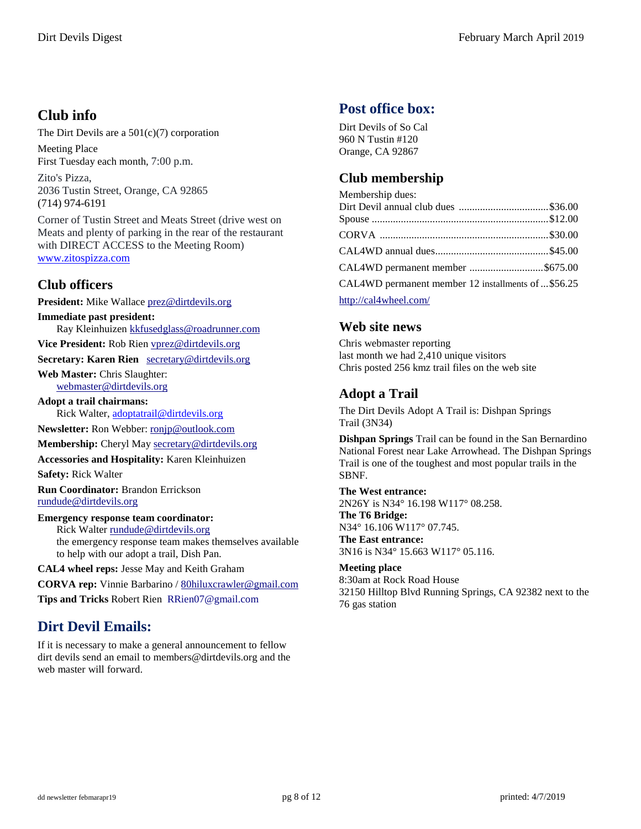# <span id="page-7-0"></span>**Club info**

The Dirt Devils are a 501(c)(7) corporation

Meeting Place First Tuesday each month, 7:00 p.m.

Zito's Pizza, 2036 Tustin Street, Orange, CA 92865 (714) 974-6191

Corner of Tustin Street and Meats Street (drive west on Meats and plenty of parking in the rear of the restaurant with DIRECT ACCESS to the Meeting Room) [www.zitospizza.com](http://www.zitospizza.com/)

# <span id="page-7-1"></span>**Club officers**

**President:** Mike Wallace prez@dirtdevils.org **Immediate past president:** Ray Kleinhuizen kkfusedglass@roadrunner.com **Vice President:** Rob Rien vprez@dirtdevils.org **Secretary: Karen Rien** secretary@dirtdevils.org **Web Master:** Chris Slaughter: webmaster@dirtdevils.org **Adopt a trail chairmans:**  Rick Walter, [adoptatrail@dirtdevils.org](mailto:adoptatrail@dirtdevils.org) **Newsletter:** Ron Webber: ronjp@outlook.com **Membership:** Cheryl May secretary@dirtdevils.org **Accessories and Hospitality:** Karen Kleinhuizen **Safety:** Rick Walter **Run Coordinator:** Brandon Errickson rundude@dirtdevils.org

**Emergency response team coordinator:**  Rick Walter rundude@dirtdevils.org the emergency response team makes themselves available to help with our adopt a trail, Dish Pan.

**CAL4 wheel reps:** Jesse May and Keith Graham

**CORVA rep:** Vinnie Barbarino / 80hiluxcrawler@gmail.com **Tips and Tricks** Robert Rien RRien07@gmail.com

# **Dirt Devil Emails:**

If it is necessary to make a general announcement to fellow dirt devils send an email to members@dirtdevils.org and the web master will forward.

# **Post office box:**

Dirt Devils of So Cal 960 N Tustin #120 Orange, CA 92867

# <span id="page-7-2"></span>**Club membership**

| Membership dues:                                                                                                                                                                                                                                                                                                                                                                                                                                                                   |  |
|------------------------------------------------------------------------------------------------------------------------------------------------------------------------------------------------------------------------------------------------------------------------------------------------------------------------------------------------------------------------------------------------------------------------------------------------------------------------------------|--|
| Dirt Devil annual club dues \$36.00                                                                                                                                                                                                                                                                                                                                                                                                                                                |  |
|                                                                                                                                                                                                                                                                                                                                                                                                                                                                                    |  |
|                                                                                                                                                                                                                                                                                                                                                                                                                                                                                    |  |
|                                                                                                                                                                                                                                                                                                                                                                                                                                                                                    |  |
| CAL4WD permanent member \$675.00                                                                                                                                                                                                                                                                                                                                                                                                                                                   |  |
| CAL4WD permanent member 12 installments of \$56.25                                                                                                                                                                                                                                                                                                                                                                                                                                 |  |
| <b>1.</b> $\mathbf{1} \cdot \mathbf{1} \cdot \mathbf{1} \cdot \mathbf{1} \cdot \mathbf{1} \cdot \mathbf{1} \cdot \mathbf{1} \cdot \mathbf{1} \cdot \mathbf{1} \cdot \mathbf{1} \cdot \mathbf{1} \cdot \mathbf{1} \cdot \mathbf{1} \cdot \mathbf{1} \cdot \mathbf{1} \cdot \mathbf{1} \cdot \mathbf{1} \cdot \mathbf{1} \cdot \mathbf{1} \cdot \mathbf{1} \cdot \mathbf{1} \cdot \mathbf{1} \cdot \mathbf{1} \cdot \mathbf{1} \cdot \mathbf{1} \cdot \mathbf{1} \cdot \mathbf{1} \$ |  |

http://cal4wheel.com/

# <span id="page-7-3"></span>**Web site news**

Chris webmaster reporting last month we had 2,410 unique visitors Chris posted 256 kmz trail files on the web site

# <span id="page-7-4"></span>**Adopt a Trail**

The Dirt Devils Adopt A Trail is: Dishpan Springs Trail (3N34)

**Dishpan Springs** Trail can be found in the San Bernardino National Forest near Lake Arrowhead. The Dishpan Springs Trail is one of the toughest and most popular trails in the SBNF.

#### **The West entrance:** 2N26Y is N34° 16.198 W117° 08.258. **The T6 Bridge:** N34° 16.106 W117° 07.745. **The East entrance:** 3N16 is N34° 15.663 W117° 05.116.

**Meeting place**  8:30am at Rock Road House 32150 Hilltop Blvd Running Springs, CA 92382 next to the 76 gas station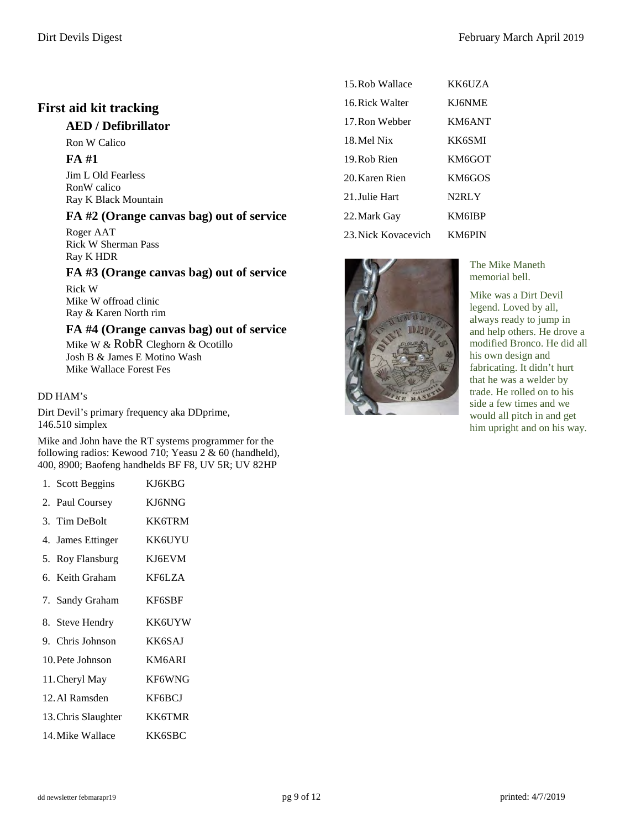# <span id="page-8-0"></span>**First aid kit tracking**

#### **AED / Defibrillator**

Ron W Calico

#### **FA #1**

Jim L Old Fearless RonW calico Ray K Black Mountain

#### **FA #2 (Orange canvas bag) out of service**

Roger AAT Rick W Sherman Pass Ray K HDR

#### **FA #3 (Orange canvas bag) out of service**

Rick W Mike W offroad clinic Ray & Karen North rim

#### **FA #4 (Orange canvas bag) out of service**

Mike W & RobR Cleghorn & Ocotillo Josh B & James E Motino Wash Mike Wallace Forest Fes

#### DD HAM's

Dirt Devil's primary frequency aka DDprime, 146.510 simplex

Mike and John have the RT systems programmer for the following radios: Kewood 710; Yeasu 2 & 60 (handheld), 400, 8900; Baofeng handhelds BF F8, UV 5R; UV 82HP

| 1. Scott Beggins    | KJ6KBG        |  |
|---------------------|---------------|--|
| 2. Paul Coursey     | KJ6NNG        |  |
| 3. Tim DeBolt       | KK6TRM        |  |
| 4. James Ettinger   | KK6UYU        |  |
| 5. Roy Flansburg    | KJ6EVM        |  |
| 6. Keith Graham     | <b>KF6LZA</b> |  |
| 7. Sandy Graham     | KF6SBF        |  |
|                     |               |  |
| 8. Steve Hendry     | <b>KK6UYW</b> |  |
| 9. Chris Johnson    | KK6SAJ        |  |
| 10. Pete Johnson    | KM6ARI        |  |
| 11. Cheryl May      | KF6WNG        |  |
| 12. Al Ramsden      | KF6BCJ        |  |
| 13. Chris Slaughter | <b>KK6TMR</b> |  |

| 15. Rob Wallace     | KK6UZA             |
|---------------------|--------------------|
| 16. Rick Walter     | <b>KI6NME</b>      |
| 17. Ron Webber      | KM6ANT             |
| 18 Mel Nix          | <b>KK6SMI</b>      |
| 19. Rob Rien        | KM6GOT             |
| 20. Karen Rien      | KM6GOS             |
| 21 Julie Hart       | N <sub>2</sub> RLY |
| 22. Mark Gay        | <b>KM6IBP</b>      |
| 23. Nick Kovacevich | <b>KM6PIN</b>      |



The Mike Maneth memorial bell.

Mike was a Dirt Devil legend. Loved by all, always ready to jump in and help others. He drove a modified Bronco. He did all his own design and fabricating. It didn't hurt that he was a welder by trade. He rolled on to his side a few times and we would all pitch in and get him upright and on his way.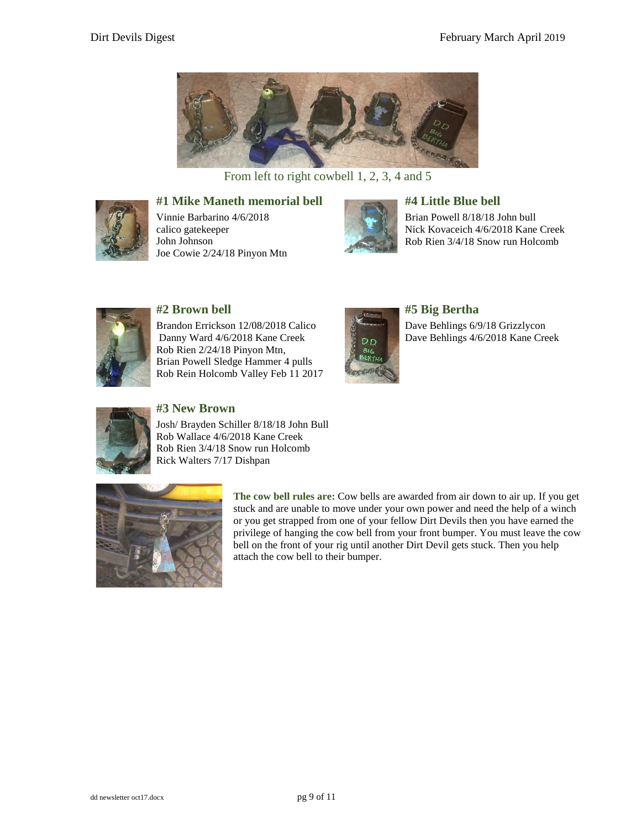

From left to right cowbell 1, 2, 3, 4 and 5



#### **#1 Mike Maneth memorial bell**

Vinnie Barbarino 4/6/2018 calico gatekeeper John Johnson Joe Cowie 2/24/18 Pinyon Mtn



#### **#4 Little Blue bell**

Brian Powell 8/18/18 John bull Nick Kovaceich 4/6/2018 Kane Creek Rob Rien 3/4/18 Snow run Holcomb



#### **#2 Brown bell**

Brandon Errickson 12/08/2018 Calico Danny Ward 4/6/2018 Kane Creek Rob Rien 2/24/18 Pinyon Mtn, Brian Powell Sledge Hammer 4 pulls Rob Rein Holcomb Valley Feb 11 2017



#### **#5 Big Bertha**

Dave Behlings 6/9/18 Grizzlycon Dave Behlings 4/6/2018 Kane Creek



### **#3 New Brown**

Josh/ Brayden Schiller 8/18/18 John Bull Rob Wallace 4/6/2018 Kane Creek Rob Rien 3/4/18 Snow run Holcomb Rick Walters 7/17 Dishpan



**The cow bell rules are:** Cow bells are awarded from air down to air up. If you get stuck and are unable to move under your own power and need the help of a winch or you get strapped from one of your fellow Dirt Devils then you have earned the privilege of hanging the cow bell from your front bumper. You must leave the cow bell on the front of your rig until another Dirt Devil gets stuck. Then you help attach the cow bell to their bumper.